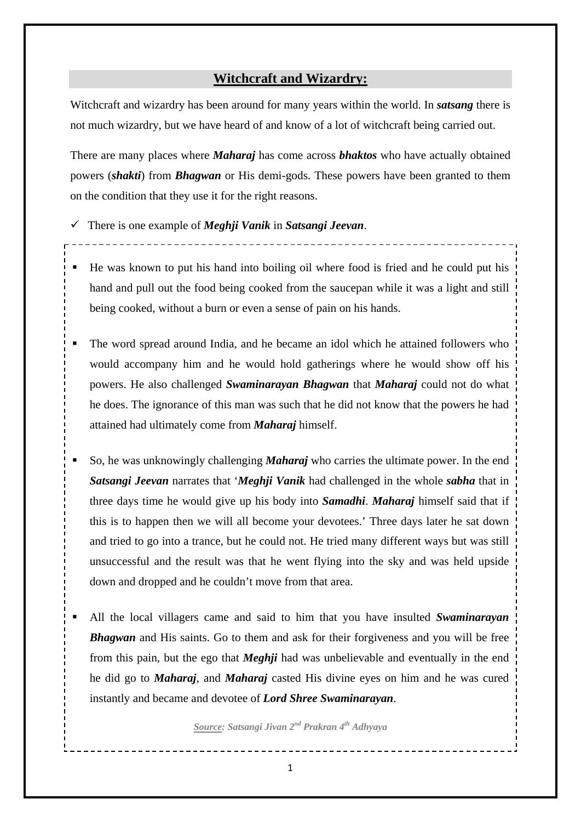## **Witchcraft and Wizardry:**

Witchcraft and wizardry has been around for many years within the world. In *satsang* there is not much wizardry, but we have heard of and know of a lot of witchcraft being carried out.

There are many places where *Maharaj* has come across *bhaktos* who have actually obtained powers (*shakti*) from *Bhagwan* or His demi-gods. These powers have been granted to them on the condition that they use it for the right reasons.

There is one example of *Meghji Vanik* in *Satsangi Jeevan*.

- $\blacksquare$  He was known to put his hand into boiling oil where food is fried and he could put his hand and pull out the food being cooked from the saucepan while it was a light and still being cooked, without a burn or even a sense of pain on his hands.
- The word spread around India, and he became an idol which he attained followers who would accompany him and he would hold gatherings where he would show off his powers. He also challenged *Swaminarayan Bhagwan* that *Maharaj* could not do what he does. The ignorance of this man was such that he did not know that the powers he had attained had ultimately come from *Maharaj* himself.
- So, he was unknowingly challenging *Maharaj* who carries the ultimate power. In the end *Satsangi Jeevan* narrates that '*Meghji Vanik* had challenged in the whole *sabha* that in three days time he would give up his body into *Samadhi*. *Maharaj* himself said that if this is to happen then we will all become your devotees.' Three days later he sat down and tried to go into a trance, but he could not. He tried many different ways but was still unsuccessful and the result was that he went flying into the sky and was held upside down and dropped and he couldn't move from that area.
- All the local villagers came and said to him that you have insulted *Swaminarayan Bhagwan* and His saints. Go to them and ask for their forgiveness and you will be free from this pain, but the ego that *Meghji* had was unbelievable and eventually in the end he did go to *Maharaj*, and *Maharaj* casted His divine eyes on him and he was cured instantly and became and devotee of *Lord Shree Swaminarayan*.

*Source: Satsangi Jivan 2nd Prakran 4th Adhyaya*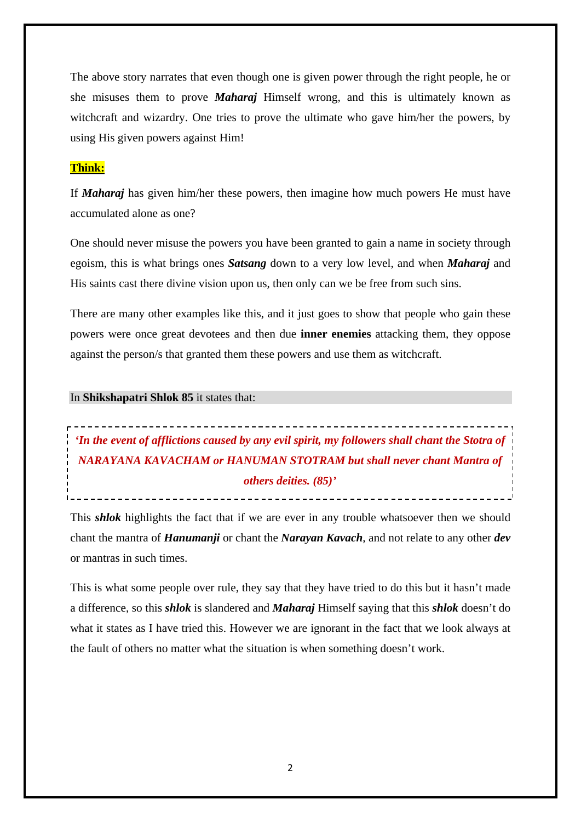The above story narrates that even though one is given power through the right people, he or she misuses them to prove *Maharaj* Himself wrong, and this is ultimately known as witchcraft and wizardry. One tries to prove the ultimate who gave him/her the powers, by using His given powers against Him!

### **Think:**

If *Maharaj* has given him/her these powers, then imagine how much powers He must have accumulated alone as one?

One should never misuse the powers you have been granted to gain a name in society through egoism, this is what brings ones *Satsang* down to a very low level, and when *Maharaj* and His saints cast there divine vision upon us, then only can we be free from such sins.

There are many other examples like this, and it just goes to show that people who gain these powers were once great devotees and then due **inner enemies** attacking them, they oppose against the person/s that granted them these powers and use them as witchcraft.

#### In **Shikshapatri Shlok 85** it states that:

# \_\_\_\_\_\_\_\_\_\_\_\_\_\_\_\_\_\_\_\_\_\_\_\_\_\_\_\_ *'In the event of afflictions caused by any evil spirit, my followers shall chant the Stotra of NARAYANA KAVACHAM or HANUMAN STOTRAM but shall never chant Mantra of others deities. (85)'*

\_\_\_\_\_\_\_\_\_\_\_\_\_\_\_\_\_\_\_\_\_\_\_\_\_\_\_\_\_\_\_\_\_\_\_\_

This *shlok* highlights the fact that if we are ever in any trouble whatsoever then we should chant the mantra of *Hanumanji* or chant the *Narayan Kavach*, and not relate to any other *dev* or mantras in such times.

This is what some people over rule, they say that they have tried to do this but it hasn't made a difference, so this *shlok* is slandered and *Maharaj* Himself saying that this *shlok* doesn't do what it states as I have tried this. However we are ignorant in the fact that we look always at the fault of others no matter what the situation is when something doesn't work.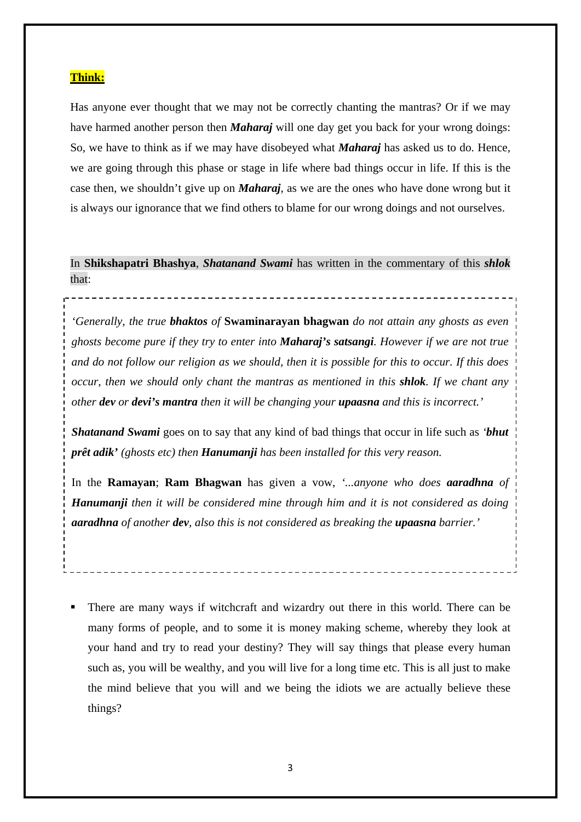### **Think:**

Has anyone ever thought that we may not be correctly chanting the mantras? Or if we may have harmed another person then *Maharaj* will one day get you back for your wrong doings: So, we have to think as if we may have disobeyed what *Maharaj* has asked us to do. Hence, we are going through this phase or stage in life where bad things occur in life. If this is the case then, we shouldn't give up on *Maharaj*, as we are the ones who have done wrong but it is always our ignorance that we find others to blame for our wrong doings and not ourselves.

In **Shikshapatri Bhashya**, *Shatanand Swami* has written in the commentary of this *shlok*  that:

*'Generally, the true bhaktos of* **Swaminarayan bhagwan** *do not attain any ghosts as even ghosts become pure if they try to enter into Maharaj's satsangi. However if we are not true and do not follow our religion as we should, then it is possible for this to occur. If this does occur, then we should only chant the mantras as mentioned in this shlok. If we chant any other dev or devi's mantra then it will be changing your upaasna and this is incorrect.'*

*Shatanand Swami* goes on to say that any kind of bad things that occur in life such as *'bhut prêt adik' (ghosts etc) then Hanumanji has been installed for this very reason.* 

In the **Ramayan**; **Ram Bhagwan** has given a vow, *'...anyone who does aaradhna of Hanumanji then it will be considered mine through him and it is not considered as doing aaradhna of another dev, also this is not considered as breaking the upaasna barrier.'* 

 There are many ways if witchcraft and wizardry out there in this world. There can be many forms of people, and to some it is money making scheme, whereby they look at your hand and try to read your destiny? They will say things that please every human such as, you will be wealthy, and you will live for a long time etc. This is all just to make the mind believe that you will and we being the idiots we are actually believe these things?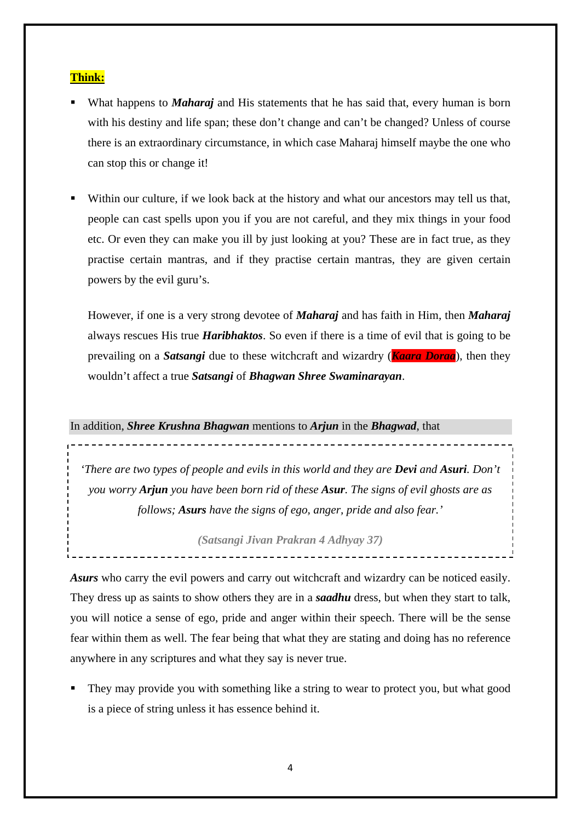### **Think:**

- What happens to *Maharaj* and His statements that he has said that, every human is born with his destiny and life span; these don't change and can't be changed? Unless of course there is an extraordinary circumstance, in which case Maharaj himself maybe the one who can stop this or change it!
- Within our culture, if we look back at the history and what our ancestors may tell us that, people can cast spells upon you if you are not careful, and they mix things in your food etc. Or even they can make you ill by just looking at you? These are in fact true, as they practise certain mantras, and if they practise certain mantras, they are given certain powers by the evil guru's.

However, if one is a very strong devotee of *Maharaj* and has faith in Him, then *Maharaj*  always rescues His true *Haribhaktos*. So even if there is a time of evil that is going to be prevailing on a *Satsangi* due to these witchcraft and wizardry (*Kaara Doraa*), then they wouldn't affect a true *Satsangi* of *Bhagwan Shree Swaminarayan*.

In addition, *Shree Krushna Bhagwan* mentions to *Arjun* in the *Bhagwad*, that

*'There are two types of people and evils in this world and they are Devi and Asuri. Don't you worry Arjun you have been born rid of these Asur. The signs of evil ghosts are as follows; Asurs have the signs of ego, anger, pride and also fear.'* 

*(Satsangi Jivan Prakran 4 Adhyay 37)* 

*Asurs* who carry the evil powers and carry out witchcraft and wizardry can be noticed easily. They dress up as saints to show others they are in a *saadhu* dress, but when they start to talk, you will notice a sense of ego, pride and anger within their speech. There will be the sense fear within them as well. The fear being that what they are stating and doing has no reference anywhere in any scriptures and what they say is never true.

 They may provide you with something like a string to wear to protect you, but what good is a piece of string unless it has essence behind it.